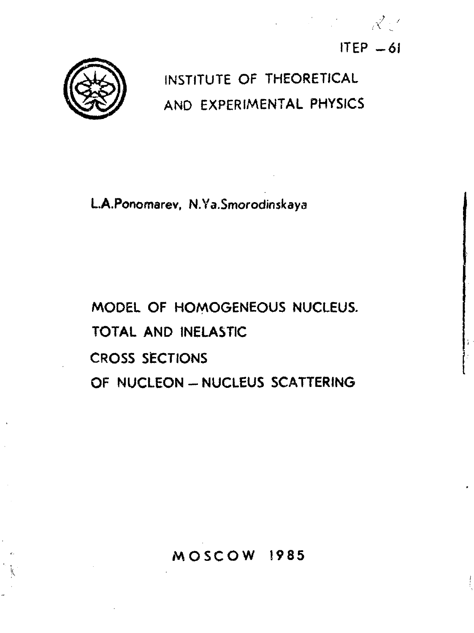



# **INSTITUTE OF THEORETICAL AND EXPERIMENTAL PHYSICS**

**L.A.Ponomarev, N.Ya.Smorodinskaya**

**MODEL OF HOMOGENEOUS NUCLEUS. TOTAL AND INELASTIC CROSS SECTIONS OF NUCLEON - NUCLEUS SCATTERING** 

# **MOSCO W 1985**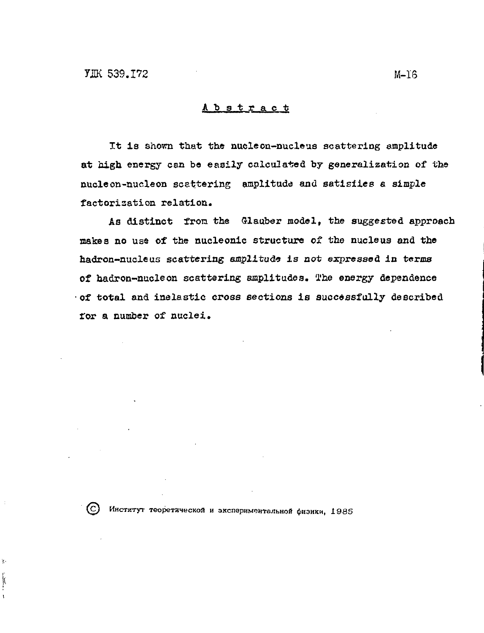#### Abstract

It is shown that the nucleon-nucleus scattering amplitude at high energy can be easily calculated by generalization of the nucleon-nucleon scattering amplitude and satisfies a simple factorization relation.

As distinct from the Glauber model, the suggested approach makes no use of the nucleonic structure of the nucleus and the hadron-nucleus scattering amplitude is not expressed in terms of hadron-nucleon scattering amplitudes. The energy dependence of total and inelastic cross sections is successfully described for a number of nuclei.

þ

ļ  $\overline{\mathbf{r}}$ 

С) Институт теоретической и экспериментальной физики, 1985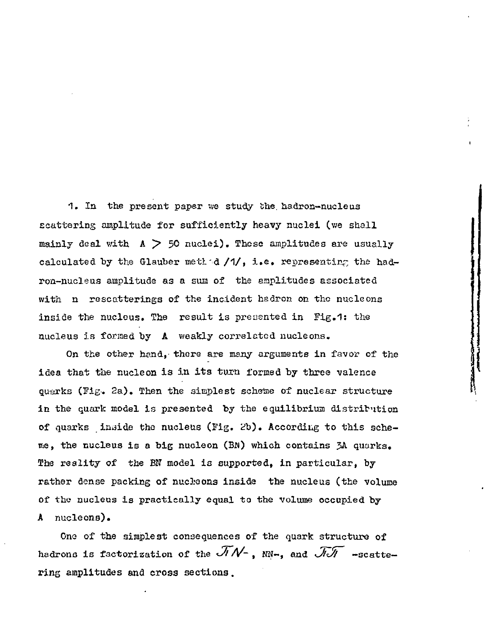1. In the present paper we study the hadron-nucleus scattering amplitude for sufficiently heavy nuclei (we shall mainly deal with A *y>* 50 nuclei). These amplitudes are usually calculated by the Glauber methid  $/1/$ , i.e. representing the hadron-nucleus amplitude as a sun of the amplitudes associated with n rescatterings of the incident hadron on the nucleons inside the nucleus. The result is presented in Fig.1: the nucleus is formed by A weakly correlated nucleons.

On the other hand, there are many arguments in favor of the idea that the nucleon is in its turn formed by three valence quarks (Fig. 2a). Then the simplest scheme of nuclear structure in the quark model is presented by the equilibrium distribution of quarks inside the nucleus (Fig. *2h).* According to this sche me, the nucleus is a big nucleon (Bw) which contains ?A quarks. The reality of the BN model is supported, in particular, by rather dense packing of nucheons inside the nucleus (the volume of the nucleus is practically equal to the volume occupied by A nucleons).

One of the simplest consequences of the quark structure of hadrons is factorization of the  $\widetilde{\mathcal{J}N}$ -, and  $\widetilde{\mathcal{J}J}$  -scattering amplitudes and cross sections.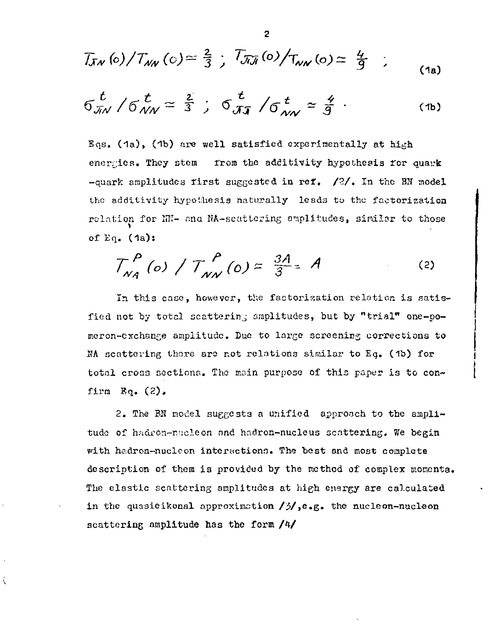$$
T_{JN}(0)/T_{NN}(c) \simeq \frac{2}{3} \; ; \; T_{J\bar{J}J}(0)/T_{NN}(o) \simeq \; \frac{4}{9} \; ; \qquad (1a)
$$

$$
6\frac{t}{\pi N}/6\frac{t}{\pi N}\simeq \frac{2}{3};\ 6\frac{t}{\pi}\sqrt{6}\frac{t}{\pi N}\simeq \frac{4}{9}.
$$
 (1b)

Eqs. (1a), (1b) are well satisfied experimentally at high energies. They stem from the additivity hypothesis for quark -quark amplitudes rirst suggested in ref.  $/2/$ . In the BN model the additivity hypothesis naturally leads to the factorization relation for NN- and NA-seattering emplitudes, similar to those of Eq.  $(1a)$ :

$$
T_{N_A}^P(o) / T_{N_N}^P(o) \approx \frac{3A}{3} = A
$$
 (2)

In this case, however, the factorization relation is satisfied not by total scattering amplitudes, but by "trial" one-pomeron-exchange amplitude. Due to large screening corrections to NA scattering there are not relations similar to Eq. (1b) for total cross sections. The main purpose of this paper is to confirm  $Eq. (2)$ .

2. The BN model suggests a unified approach to the amplitude of hadron-mucleon and hadron-nucleus scattering. We begin with hadron-nucleon interactions. The best and most complete description of them is provided by the method of complex momenta. The elastic scattering amplitudes at high energy are calculated in the quasieikonal approximation  $/3/$ , e.g. the nucleon-nucleon scattering amplitude has the form /4/

ί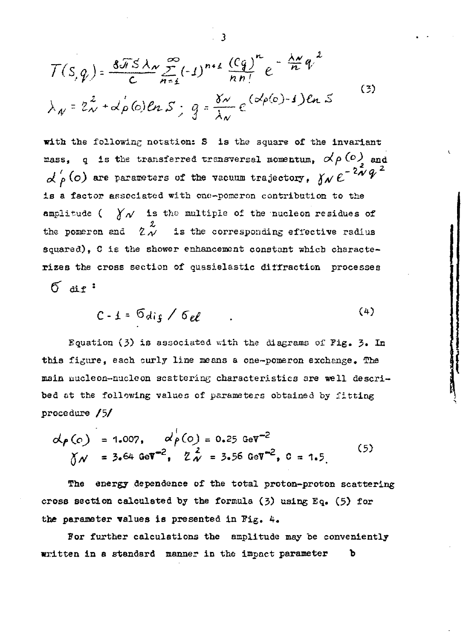$$
T(s,q) = \frac{8\pi s \lambda_N}{c} \sum_{n=1}^{\infty} (-1)^{n+1} \frac{(cq)}{nn!} e^{-\frac{\lambda_N}{n}q^2}
$$
  

$$
\lambda_N = 2\lambda + \alpha \rho(0) \ln S; \quad q = \frac{8\lambda}{\lambda_N} e^{(\alpha \rho(0)-1)} \ln S
$$
 (3)

with the following notation: S is the square of the invariant mass, q is the transferred transversal momentum,  $\alpha/\beta$  (0) and  $\alpha'_{\rho}$  (o) are parameters of the vacuum trajectory,  $\gamma_{\rho} e^{-2\lambda' q}$ is a factor associated with one-pomeron contribution to the amplitude ( $\chi_{\mathcal{N}}$  is the multiple of the nucleon residues of the pomeron and  $2\stackrel{\leftrightarrow}{\sim}$  is the corresponding effective radius squared), C is the shower enhancement constant which characterizes the cross section of quasielastic diffraction processes

 $6 \text{ are}$ 

 $(4)$  $C - 1 = 6$ dig /  $6el$ 

Equation (3) is associated with the diagrams of Fig. 3. In this figure, each curly line means a one-pomeron exchange. The main nucleon-nucleon scattering characteristics are well described at the following values of parameters obtained by fitting procedure /5/

$$
\alpha_{\rho}(c) = 1.007, \quad \alpha_{\rho}^{1}(c) = 0.25 \text{ GeV}^{-2}
$$
\n
$$
\gamma_{\mathcal{N}} = 3.64 \text{ GeV}^{-2}, \quad \gamma_{\mathcal{N}}^{2} = 3.56 \text{ GeV}^{-2}, \quad c = 1.5
$$
\n(5)

The energy dependence of the total proton-proton scattering cross section calculated by the formula (3) using Eq. (5) for the parameter values is presented in Fig. 4.

For further calculations the amplitude may be conveniently written in a standard manner in the impact parameter ъ

$$
\overline{3}
$$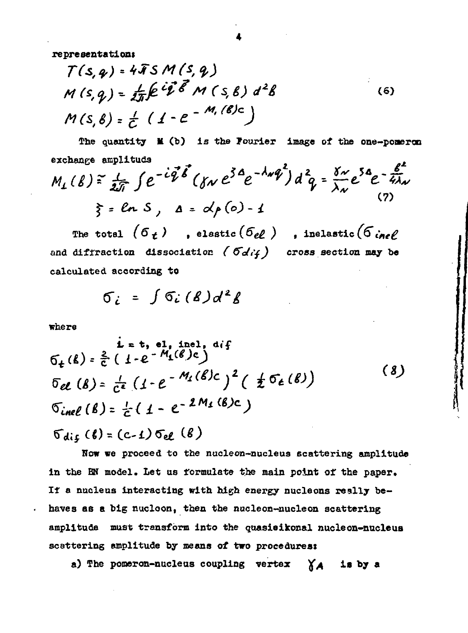**representation»**

$$
T(s, q) = 4 \bar{4} S M (s, q)
$$
  
M(s, q) =  $\frac{1}{2\pi} \int e^{i\vec{q}} \vec{\delta} M (s, \beta) d^2 \beta$  (6)  
M(s, \beta) =  $\frac{1}{C} (1 - e^{-M_s(\beta)c})$ 

**The quantity M (b) is the Fourier image of the one—pomeroo exchange amplitude***<sup>t</sup>*

$$
M_{1}(\beta) = \frac{1}{2\pi} \int e^{-i\vec{q}\cdot\vec{\delta}} (y_{N} e^{3\alpha}e^{-\lambda_{N}\vec{q}}) d^{2}q = \frac{y_{N}}{\lambda_{N}} e^{5\alpha}e^{-\frac{\beta^{2}}{4\lambda_{N}}}
$$
\n
$$
\xi = \ln S, \quad \Delta = d_{1}(\infty) - 1
$$
\n(7)

The total  $(6<sub>t</sub>)$ , elastic $(6<sub>el</sub>)$ , inelastic $(6<sub>inel</sub>)$ and diffraction dissociation ( $\sigma d/f$ ) cross section may be **calculated according to**

$$
\sigma_i = \int \sigma_i(\mathcal{B}) d^2 \mathcal{B}
$$

**where**

ł.

i = t, el, inf  
\n
$$
6_{t}(k) = \frac{2}{c} (1 - e^{-M_{1}(\ell)}c)
$$
\n
$$
6_{e\ell} (k) = \frac{1}{c^{e}} (1 - e^{-M_{1}(\ell)}c)^{2} (1 + e^{-M_{2}(\ell)})
$$
\n
$$
6_{inel} (k) = \frac{1}{c} (1 - e^{-2M_{1}(\ell)}c)
$$
\n
$$
6_{inel} (k) = \frac{1}{c} (1 - e^{-2M_{2}(\ell)})
$$
\n
$$
6_{inel} (k) = 6_{inel} (1 - e^{-2M_{2}(\ell)})
$$
\n
$$
(1 - e^{-2M_{2}(\ell)})
$$

 $\sigma_{dir}(\ell) = (c-1) \sigma_{el}(\ell)$ **Now we proceed to the nucleon-nucleus scattering amplitude in the BN model. Let us formulate the main point of the paper.** *It* **a nucleus interacting with high energy nucleons really behaves as e big nucloon, then the nucleon-uucleon scattering amplitude must transform into the guasieikonal nucleon-nudeus scattering amplitude by means of two procedures:**

**a) The pomeron-nucleus coupling vertex ^ is by a**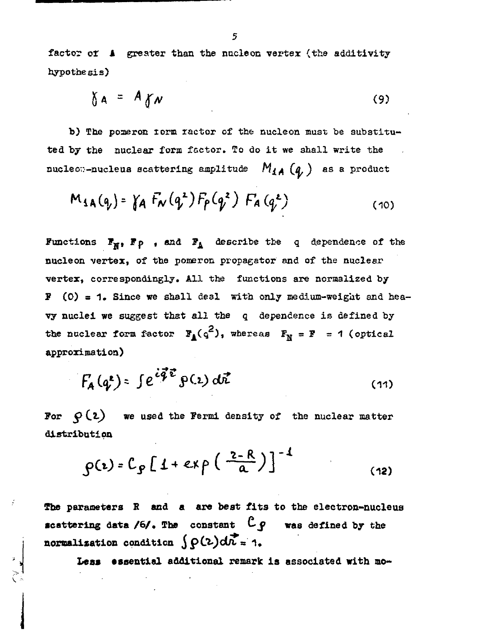factor or A greater than the nucleon vertex (the additivity hypothesis)

$$
\delta A = A \delta V \tag{9}
$$

b) The pomeron torm ractor of the nucleon must be substituted by the nuclear form factor. To do it we shall write the nucleo;-nucleus scattering amplitude  $M_{4A}$  ( $q$ ) as a product

$$
M_{\text{SA}}(q_{\nu}) = \gamma_A F_{\nu}(q^2) F_{\rho}(q^2) F_A(q^2)
$$
 (10)

Functions  $\mathbf{F}_{\mathbf{M}}$ ,  $\mathbf{F}_{\mathbf{P}}$  , and  $\mathbf{F}_{\mathbf{A}}$  describe the q dependence of the nucleon vertex, of the pomeron propagator and of the nuclear vertex, correspondingly. All the functions are normalized by  $P$  (0) = 1. Since we shall deal with only medium-weight and heavy nuclei we suggest that all the q dependence is defined by the nuclear form factor  $F_A(q^2)$ , whereas  $F_N = F = 1$  (optical approximation)

$$
F_{\mathbf{A}}(q^{\mathbf{z}}) = \int e^{\frac{i\vec{q}\cdot\vec{e}}{2}} \mathbf{P}(\mathbf{z}) d\vec{r}
$$
 (11)

**Por**  $\varphi$  (2) we used the Fermi density of the nuclear matter **distribution**

$$
\rho(\epsilon) = C_g \left[ 1 + \exp\left(\frac{2-R}{a}\right) \right]^{-1}
$$
 (12)

**The parameters В and a are best fits to the electron-nucleus scattering data /6/. The constant**  $C$  $\varphi$  was defined by the **normalization** condition  $\int \rho(2) d\vec{k} = 1$ .

**Leas essential additional remark is associated with mo**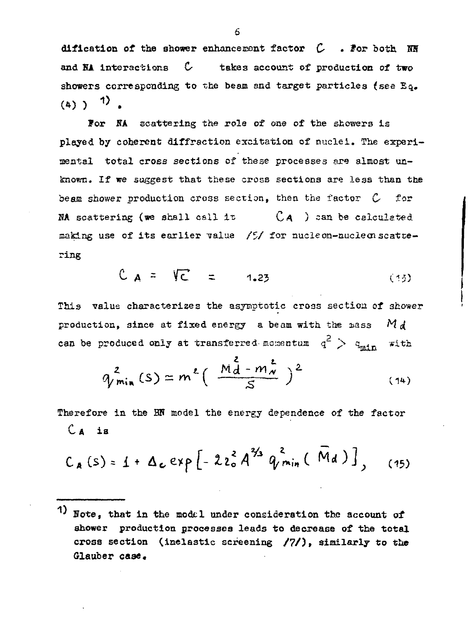dification of the shower enhancerent factor  $C$  *. For both. NR* and  $N_A$  interactions  $C$  takes account of production of two showers corresponding to the beam end target particles (see Eq.  $(4)$  )  $1$ .

For NA scattering the role of one of the showers is played by coherent diffraction excitation of nuclei. The experimental total cross sections of these processes are almost un known. If we suggest that these cross sections are less than the beam shower production cross section, then the factor  $C$  for NA scattering (we shall call it  $CA$ ) can be calculated making use of its earlier value  $/5/$  for nucleon-nucleon scattering

$$
C_A = \nabla C = 1.23 \tag{15}
$$

This value characterizes the asymptotic cross section of shower production, since at fixed energy a beam with the mass *M d* can be produced only at transferred momentum  $q^2$   $>$   $q_{min}$ **with** 

$$
q_{min}^{2}(s) \approx m^{\ell} \left(\frac{M_{d}^{2}-m_{w}^{\ell}}{s}\right)^{2}
$$
 (14)

Therefore in the ENN model the energy dependence of the factor  $C_A$  is

$$
C_A(s) = 1 + \Delta_c exp \left[ -2 z_0^2 A^{3/2} q_{min}^2 (M_d) \right],
$$
 (15)

<sup>&</sup>lt;sup>1</sup>) Note, that in the model under consideration the account of shower production processes leads to decrease of the total cross section (inelastic screening */7/),* similarly to the Glauber **case.**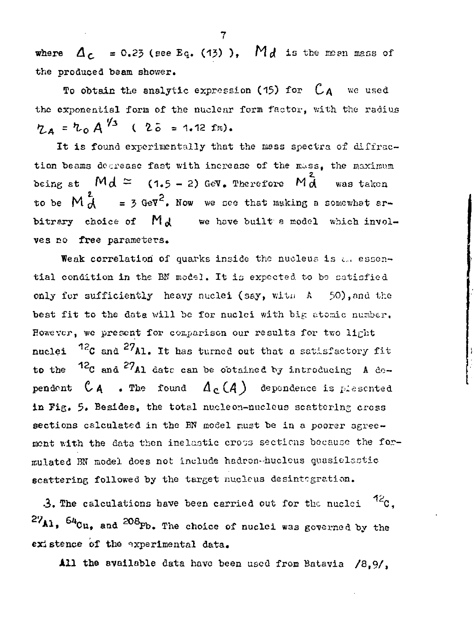where  $\Delta_c = 0.25$  (see Eq. (13)), Md is the mean mass of the produced beam shower.

To obtain the analytic expression (15) for  $C_A$  we used the exponential form of the nuclear form factor, with the radius  $\eta_A = \eta_O A^{\gamma_3}$  (  $2\bar{0} = 1.12$  fm).

It is found experimentally that the mass spectra of diffraction beams degrease fast with increase of the mass. the maximum being at  $Md \approx (1.5 - 2)$  GeV. Therefore  $Md$  was taken to be  $M_d^2 = 3$  GeV<sup>2</sup>. Now we see that making a somewhat arbitrary choice of  $M_d$  we have built a model which involves no free parameters.

Weak correlation of quarks inside the nucleus is all essential condition in the BM model. It is expected to be satisfied only for sufficiently heavy nuclei (say, with A 50), and the best fit to the data will be for nuclei with big atomic number. However, we present for comparison our results for two light nuclei <sup>12</sup>C and <sup>27</sup>Al. It has turned out that a satisfactory fit to the  $12c$  and  $27_{A1}$  date can be obtained by introducing A dependent  $C_A$  . The found  $A_C(A)$  dependence is plesented in Fig. 5. Besides, the total nucleon-nucleus scattering cross sections calculated in the BN model must be in a poorer agreement with the data then inelastic cross sections because the formulated BN model does not include hadron-hucleus quasielastic scattering followed by the target nucleus desintegration.

 $12c$ , 3. The calculations have been carried out for the nuclei  $^{27}$ A1,  $^{64}$ Cu. and  $^{208}$ Pb. The choice of nuclei was governed by the existence of the experimental data.

All the available data have been used from Batavia /8.9/.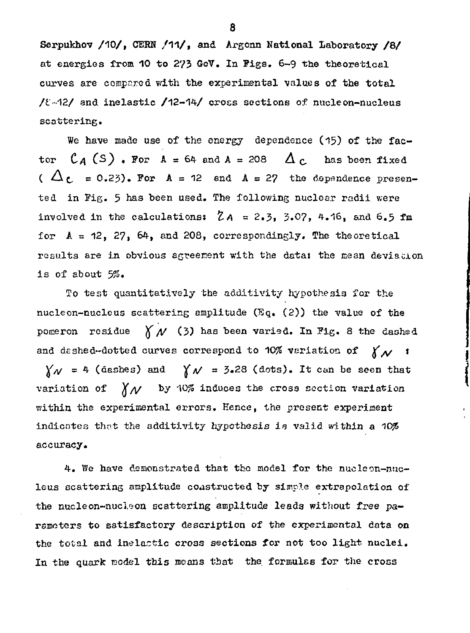Serpukhov /10/, CERN /11/, and Argonn National Laboratory /8/ at energies from 10 to 273 GeV. In Figs. 6-9 the theoretical curves are compared with the experimental values of the total  $/$  $\ell$ -42/ and inelastic  $/$ 12-14/ cross sections of nucleon-nucleus scattering.

We have made use of the energy dependence (15) of the factor  $C_A(S)$  . For  $A = 64$  and  $A = 208$  or  $A_C$  has been fixed ( $\Delta$ <sub>C</sub> = 0.23). For  $A = 12$  end  $A = 27$  the dependence presented in Fig. 5 has been used. The lollowing nuclear radii were involved in the calculations:  $\mathcal{Z}_A = 2.3$ , 3.07, 4.16, and 6.5 fm for  $A = 12$ , 27, 64, and 208, correspondingly. The theoretical results are in obvious agreement with the data: the mean deviacion is of about *3%.*

To test quantitatively the additivity hypothesis for the nucleon-nucleus scattering amplitude (Eq. (2)) the value of the pomeron residue  $\bigwedge^r N$  (3) has been varied. In Fig. 8 the dashed and deshed-dotted curves correspond to 10% variation of  $\chi_{\mathcal{N}}$  t  $\gamma_{\mathcal{N}} = 4$  (dashes) and  $\gamma_{\mathcal{N}} = 3.28$  (dots). It can be seen that variation of  $\bigwedge^{\mathcal{U}} \mathcal{N}$  by  $\lvert \vee \mathcal{N} \rvert$  induces the cross section variation within the experimental errors. Hence, the present experiaent indicates that the additivity hypothesis is valid within a 10% accuracy.

4. We have demonstrated that the model for the nucleon-nuc leus scattering amplitude coastructed by simple extrapolation of the nucleon-nucleon scattering amplitude leads without free pa rameters to satisfactory description of the experimental data on the total and inelactic cross sections for not too light nuclei. In the quark model this means that the formulas for the cross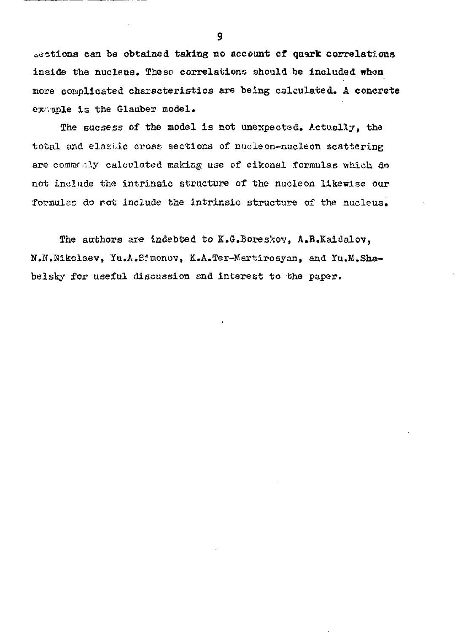oections can be obtained taking no account *d* quark correlations inside the nucleus. These correlations should be included when more complicated chaxscteristics are being calculated. A concrete example is the Glauber model.

The sucsess of the model is not unexpected. Actually, the total and elastic cross- sections of nucleon-nucleon scattering are commonly calculated making use of eikonal formulas which do not include the intrinsic structure of the nucleon likewise our formulae do rot include the intrinsic structure of the nucleus.

The authors are indebted to K.G.Boreskov, A.B.Kaidalov, N.IT.Hikclaev, Yu.A.Srmonov, K.A.Ter-Martirosyan, and Tu.M.Shabelsky for useful discussion and interest to the paper.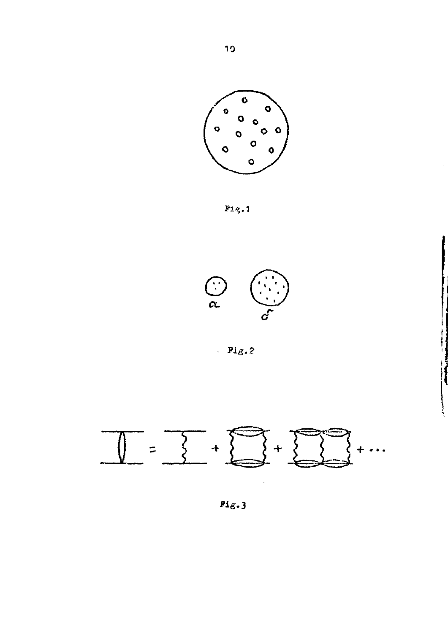

Pig.1



 $\cdot$  Fig.2

ļ



 $Pig.3$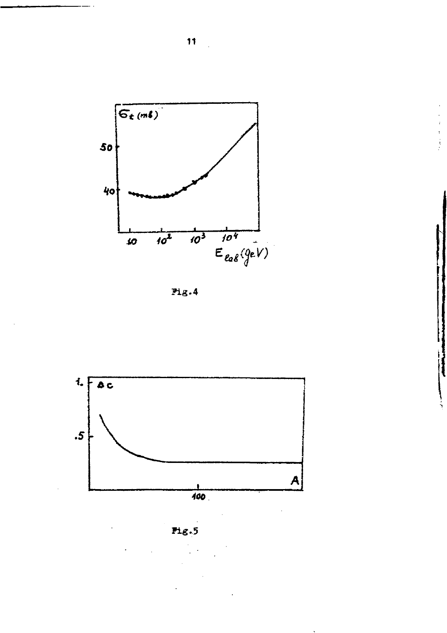





Fig.5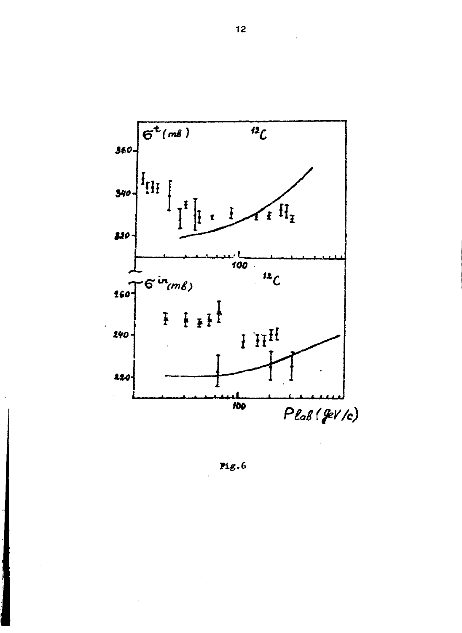

Fig.6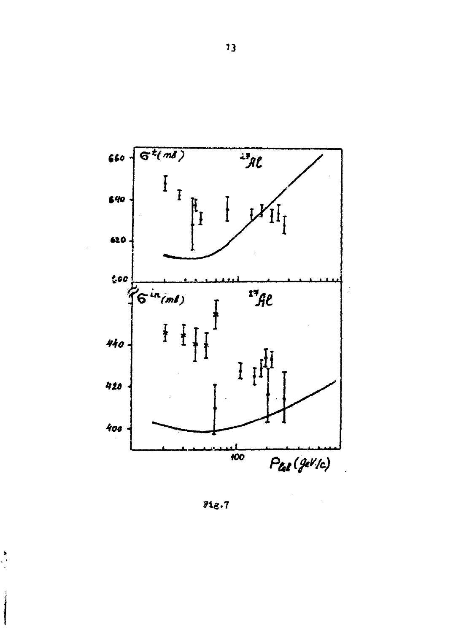

 $Pig.7$ 

 $\begin{array}{c} \mathbf{a} \\ \mathbf{b} \\ \mathbf{c} \end{array}$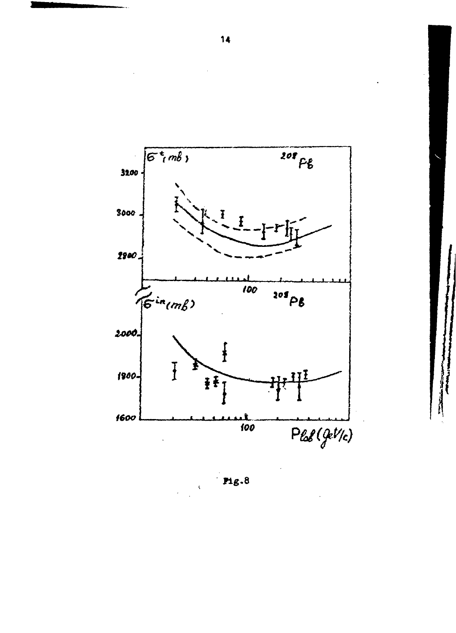

 $mg.8$ 

 $\bar{\mathbf{r}}$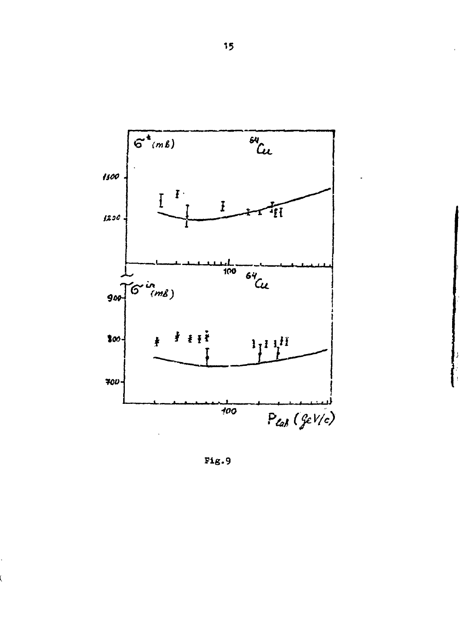

 $Fig. 9$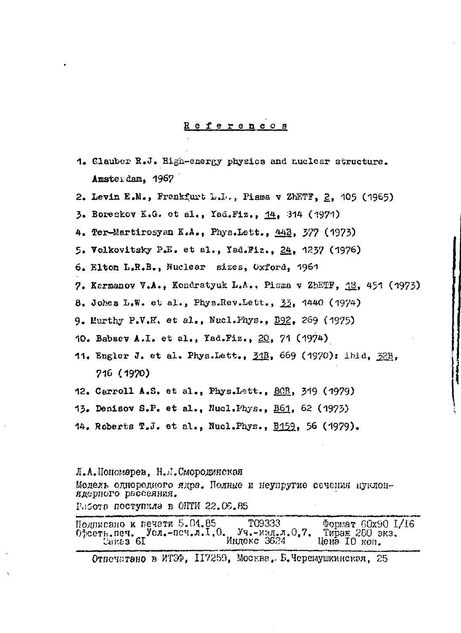#### eferences

- 1. Clauber R.J. High-energy physics and nuclear structure. Amsteidam, 1967
- 2. Levin E.M., Frankfurt L.L., Pisma v ZhETF, 2, 105 (1965)
- 3. Boreskov K.G. et al., Yad.Fiz., 14, 314 (1971)
- 4. Ter-Martirosyan K.A., Phys.Lett., 44B, 377 (1973)
- 5. Volkovitsky P.E. et al., Yad.Fiz., 24, 1237 (1976)
- 6. Elton L.R.B., Nuclear sizes, Oxford, 1961
- 7. Kermanov V.A., Kondratyuk L.A., Pisma v ZhETF, 18, 451 (1973)
- 8. Johes L.W. et al., Phys.Rev.Lett., 33, 1440 (1974)
- 9. Murthy P.V.H. et al., Nucl.Phys., E92, 269 (1975)
- 10. Babaev A.I. et al., Yad.Fiz., 20, 71 (1974)
- 11. Engler J. et al. Phys.Lett., 31B, 669 (1970): ibid, 32B. 716 (1970)
- 12. Carroll A.S. et al., Phys.Lett., 80B, 319 (1979)
- 13. Denisov S.P. et al., Nucl. Phys., B61, 62 (1973)
- 14. Roberts T.J. et al., Nucl.Phys., B159, 56 (1979).

Л.А.Пономарев, Н.Л.Смородинская Модель однородного ядра. Полные и неупругие сечения нуклонядерного рассеяния. Работа поступила в ОНТИ 22.06.85

| Подписано к печети 5.04.85                     | T09333      | $\Phi$ Opmar 60x90 1/16 |
|------------------------------------------------|-------------|-------------------------|
| Офсетн. печ. Усл.-печ.л. I, 0. Уч.-изд.л. 0.7. |             | Тираж 280 экз.          |
| Cares 6I                                       | Инлекс 3624 | цена 10 коп.            |

Отнечатано в ИТЭФ. 117259. Москва. Б.Черемушкинская. 25